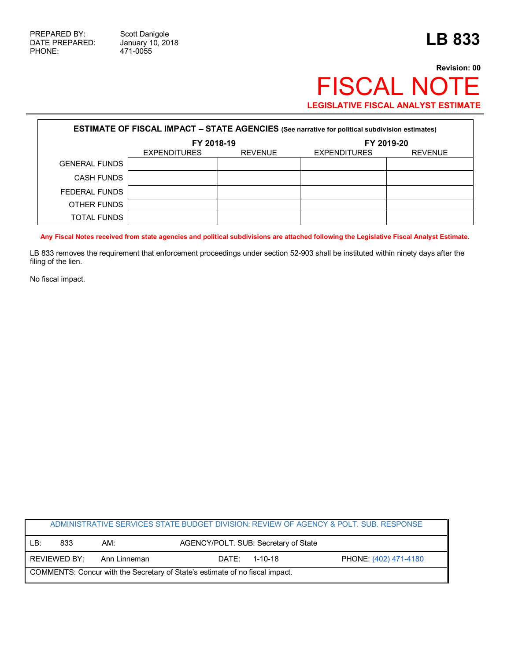Г

471-0055

## **Revision: 00** FISCAL NOTE **LEGISLATIVE FISCAL ANALYST ESTIMATE**

| <b>ESTIMATE OF FISCAL IMPACT - STATE AGENCIES (See narrative for political subdivision estimates)</b> |                     |                |                     |                |  |
|-------------------------------------------------------------------------------------------------------|---------------------|----------------|---------------------|----------------|--|
|                                                                                                       | FY 2018-19          |                | FY 2019-20          |                |  |
|                                                                                                       | <b>EXPENDITURES</b> | <b>REVENUE</b> | <b>EXPENDITURES</b> | <b>REVENUE</b> |  |
| <b>GENERAL FUNDS</b>                                                                                  |                     |                |                     |                |  |
| CASH FUNDS                                                                                            |                     |                |                     |                |  |
| FEDERAL FUNDS                                                                                         |                     |                |                     |                |  |
| OTHER FUNDS                                                                                           |                     |                |                     |                |  |
| <b>TOTAL FUNDS</b>                                                                                    |                     |                |                     |                |  |

**Any Fiscal Notes received from state agencies and political subdivisions are attached following the Legislative Fiscal Analyst Estimate.**

LB 833 removes the requirement that enforcement proceedings under section 52-903 shall be instituted within ninety days after the filing of the lien.

No fiscal impact.

| ADMINISTRATIVE SERVICES STATE BUDGET DIVISION: REVIEW OF AGENCY & POLT. SUB. RESPONSE |              |              |                                      |               |                       |  |
|---------------------------------------------------------------------------------------|--------------|--------------|--------------------------------------|---------------|-----------------------|--|
| LB:                                                                                   | 833          | AM:          | AGENCY/POLT. SUB: Secretary of State |               |                       |  |
|                                                                                       | REVIEWED BY: | Ann Linneman | DATF:                                | $1 - 10 - 18$ | PHONE: (402) 471-4180 |  |
| COMMENTS: Concur with the Secretary of State's estimate of no fiscal impact.          |              |              |                                      |               |                       |  |